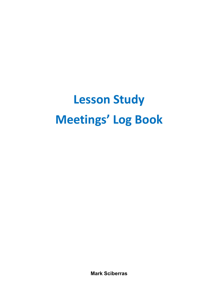## **Lesson Study Meetings' Log Book**

**Mark Sciberras**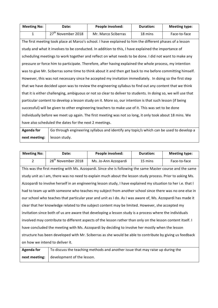| <b>Meeting No:</b>                                                                                     | Date:                                                                                                          | People involved:                                                                                         | <b>Duration:</b> | <b>Meeting type:</b> |
|--------------------------------------------------------------------------------------------------------|----------------------------------------------------------------------------------------------------------------|----------------------------------------------------------------------------------------------------------|------------------|----------------------|
| $\mathbf{1}$                                                                                           | 27 <sup>th</sup> November 2018                                                                                 | Mr. Marco Sciberras                                                                                      | 18 mins          | Face-to-face         |
|                                                                                                        |                                                                                                                | The first meeting took place at Marco's school. I have explained to him the different phases of a lesson |                  |                      |
|                                                                                                        |                                                                                                                | study and what it involves to be conducted. In addition to this, I have explained the importance of      |                  |                      |
|                                                                                                        |                                                                                                                | scheduling meetings to work together and reflect on what needs to be done. I did not want to make any    |                  |                      |
|                                                                                                        |                                                                                                                | pressure or force him to participate. Therefore, after having explained the whole process, my intention  |                  |                      |
|                                                                                                        |                                                                                                                | was to give Mr. Sciberras some time to think about it and then get back to me before committing himself. |                  |                      |
|                                                                                                        | However, this was not necessary since he accepted my invitation immediately. In doing so the first step        |                                                                                                          |                  |                      |
| that we have decided upon was to review the engineering syllabus to find out any content that we think |                                                                                                                |                                                                                                          |                  |                      |
|                                                                                                        | that it is either challenging, ambiguous or not so clear to deliver to students. In doing so, we will use that |                                                                                                          |                  |                      |
|                                                                                                        |                                                                                                                | particular content to develop a lesson study on it. More so, our intention is that such lesson (if being |                  |                      |
|                                                                                                        |                                                                                                                | successful) will be given to other engineering teachers to make use of it. This was set to be done       |                  |                      |
|                                                                                                        |                                                                                                                | individually before we meet up again. The first meeting was not so long, it only took about 18 mins. We  |                  |                      |
|                                                                                                        | have also scheduled the dates for the next 2 meetings.                                                         |                                                                                                          |                  |                      |

**Agenda** for **next meeting:**  Go through engineering syllabus and identify any topic/s which can be used to develop a lesson study.

| <b>Meeting No:</b> | Date:                          | People involved:     | Duration: | <b>Meeting type:</b> |
|--------------------|--------------------------------|----------------------|-----------|----------------------|
|                    | 28 <sup>th</sup> November 2018 | Ms. Jo-Ann Azzopardi | 15 mins   | Face-to-face         |

This was the first meeting with Ms. Azzopardi. Since she is following the same Master course and the same study unit as I am, there was no need to explain much about the lesson study process. Prior to asking Ms. Azzopardi to involve herself in an engineering lesson study, I have explained my situation to her i.e. that I had to team up with someone who teaches my subject from another school since there was no one else in our school who teaches that particular year and unit as I do. As I was aware of, Ms. Azzopardi has made it clear that her knowledge related to the subject content may be limited. However, she accepted my invitation since both of us are aware that developing a lesson study is a process where the individuals involved may contribute to different aspects of the lesson rather than only on the lesson content itself. I have concluded the meeting with Ms. Azzopardi by deciding to involve her mostly when the lesson structure has been developed with Mr. Sciberras as she would be able to contribute by giving us feedback on how we intend to deliver it.

| Agenda for | To discuss the teaching methods and another issue that may raise up during the |
|------------|--------------------------------------------------------------------------------|
|            | <b>next meeting:</b> $\vert$ development of the lesson.                        |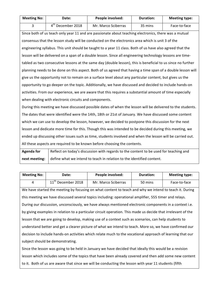| <b>Meeting No:</b> | <b>Date:</b>        | People involved:    | <b>Duration:</b> | <b>Meeting type:</b> |
|--------------------|---------------------|---------------------|------------------|----------------------|
|                    | $4th$ December 2018 | Mr. Marco Sciberras | 35 mins          | Face-to-face         |

Since both of us teach only year 11 and are passionate about teaching electronics, there was a mutual consensus that the lesson study will be conducted on the electronics area which is unit 3 of the engineering syllabus. This unit should be taught to a year 11 class. Both of us have also agreed that the lesson will be delivered on a span of a double lesson. Since all engineering technology lessons are timetabled as two consecutive lessons at the same day (double lesson), this is beneficial to us since no further planning needs to be done on this aspect. Both of us agreed that having a time span of a double lesson will give us the opportunity not to remain on a surface level about any particular content, but gives us the opportunity to go deeper on the topic. Additionally, we have discussed and decided to include hands-on activities. From our experience, we are aware that this requires a substantial amount of time especially when dealing with electronic circuits and components.

During this meeting we have discussed possible dates of when the lesson will be delivered to the students. The dates that were identified were the 14th, 18th or 21st of January. We have discussed some content which we can use to develop the lesson, however, we decided to postpone this discussion for the next lesson and dedicate more time for this. Though this was intended to be decided during this meeting, we ended up discussing other issues such as time, students involved and when the lesson will be carried out. All these aspects are required to be known before choosing the contents.

**Agenda** for **next meeting:** Reflect on today's discussion with regards to the content to be used for teaching and define what we intend to teach in relation to the identified content.

| <b>Meeting No:</b>                                                                                           | Date:                                                                                                  | People involved:                                                                                       | <b>Duration:</b> | <b>Meeting type:</b> |
|--------------------------------------------------------------------------------------------------------------|--------------------------------------------------------------------------------------------------------|--------------------------------------------------------------------------------------------------------|------------------|----------------------|
| 4                                                                                                            | 11 <sup>th</sup> December 2018                                                                         | Mr. Marco Sciberras                                                                                    | 50 mins          | Face-to-face         |
|                                                                                                              |                                                                                                        | We have started the meeting by focusing on what content to teach and why we intend to teach it. During |                  |                      |
|                                                                                                              |                                                                                                        | this meeting we have discussed several topics including: operational amplifier, 555 timer and relays.  |                  |                      |
|                                                                                                              | During our discussion, unconsciously, we have always mentioned electronic components in a context i.e. |                                                                                                        |                  |                      |
| by giving examples in relation to a particular circuit operation. This made us decide that irrelevant of the |                                                                                                        |                                                                                                        |                  |                      |
|                                                                                                              | lesson that we are going to develop, making use of a context such as scenarios, can help students to   |                                                                                                        |                  |                      |
| understand better and get a clearer picture of what we intend to teach. More so, we have confirmed our       |                                                                                                        |                                                                                                        |                  |                      |
| decision to include hands-on activities which relate much to the vocational approach of learning that our    |                                                                                                        |                                                                                                        |                  |                      |
| subject should be demonstrating.                                                                             |                                                                                                        |                                                                                                        |                  |                      |
| Since the lesson was going to be held in January we have decided that ideally this would be a revision       |                                                                                                        |                                                                                                        |                  |                      |

lesson which includes some of the topics that have been already covered and then add some new content to it. Both of us are aware that since we will be conducting the lesson with year 11 students (fifth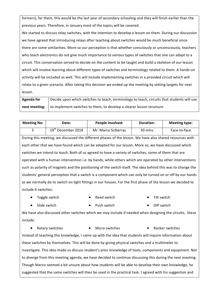formers), for them, this would be the last year of secondary schooling and they will finish earlier than the previous years. Therefore, in January most of the topics will be covered.

We started to discuss relay switches, with the intention to develop a lesson on them. During our discussion we have agreed that introducing relays after teaching about switches would be much beneficial since there are some similarities. More so our perception is that whether consciously or unconsciously, teachers who teach electronics do not give much importance to various types of switches that one can adapt to a circuit. This conversation served to decide on the content to be taught and build a skeleton of our lesson which will involve learning about different types of switches and terminology related to them. A hands-on activity will be included as well. This will include implementing switches in a provided circuit which will relate to a given scenario. After taking this decision we ended up the meeting by setting targets for next lesson.

| <b>Agenda for</b> | Decide upon which switches to teach, terminology to teach, circuits that students will use  |
|-------------------|---------------------------------------------------------------------------------------------|
|                   | <b>next meeting:</b>   to implement switches to them, to develop a clearer lesson structure |

| <b>Meeting No:</b>                                                                                           | Date:                          | People involved:                                                                                         | <b>Duration:</b> | <b>Meeting type:</b> |
|--------------------------------------------------------------------------------------------------------------|--------------------------------|----------------------------------------------------------------------------------------------------------|------------------|----------------------|
| 5                                                                                                            | 19 <sup>th</sup> December 2018 | Mr. Marco Sciberras                                                                                      | 50 mins          | Face-to-face         |
|                                                                                                              |                                | During this meeting, we discussed the different phases of the lesson. We have also shared resources with |                  |                      |
|                                                                                                              |                                | each other that we have found which can be adopted for our lesson. More so, we have discussed which      |                  |                      |
| switches we intend to teach. Both of us agreed to have a variety of switches, some of them that are          |                                |                                                                                                          |                  |                      |
| operated with a human intervention i.e. by hands, while others which are operated by other interventions     |                                |                                                                                                          |                  |                      |
| such as polarity of magnets and the positioning of the switch itself. The idea behind this was to change the |                                |                                                                                                          |                  |                      |
| students' general perception that a switch is a component which can only be turned on or off by our hands    |                                |                                                                                                          |                  |                      |
| as we normally do to switch on light fittings in our houses. For the first phase of the lesson we decided to |                                |                                                                                                          |                  |                      |
| include 6 switches:                                                                                          |                                |                                                                                                          |                  |                      |

- Toggle switch **•** Reed switch Tilt switch
- - Slide switch **•** Push switch DIP switch
- 

We have also discussed other switches which we may include if needed when designing the circuits, these include: 

• Rotary switches • Micro switches • Rocker switches

Instead of teaching this knowledge, I came up with the idea that students will inquire information about these switches by themselves. This will be done by giving physical switches and a multimeter to investigate. This idea made us discuss student's prior knowledge of tools, components and equipment. Not to diverge from this meeting agenda, we have decided to continue discussing this during the next meeting. Though Marco seemed a bit unsure about how students will be able to develop their own knowledge, he suggested that the same switches will then be used in the practical task. I agreed with his suggestion and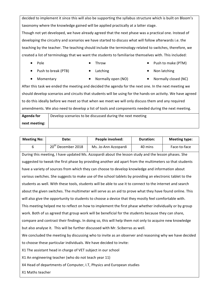decided to implement it since this will also be supporting the syllabus structure which is built on Bloom's taxonomy where the knowledge gained will be applied practically at a latter stage.

Though not yet developed, we have already agreed that the next phase was a practical one. Instead of developing the circuitry and scenarios we have started to discuss what will follow afterwards i.e. the teaching by the teacher. The teaching should include the terminology related to switches, therefore, we created a list of terminology that we want the students to familiarise themselves with. This included:

- 
- Pole • Throw Throw Push to make (PTM)
- 
- **Push to break (PTB)** Latching Non latching
	-

- 
- Momentary Normally open (NO) Normally closed (NC)

After this task we ended the meeting and decided the agenda for the next one. In the next meeting we should develop scenarios and circuits that students will be using for the hands-on activity. We have agreed to do this ideally before we meet so that when we meet we will only discuss them and any required amendments. We also need to develop a list of tools and components needed during the next meeting.

**Agenda** for **next meeting:**  Develop scenarios to be discussed during the next meeting

| <b>Meeting No:</b>                                                    | Date:                                                                                                 | People involved:                                                                                          | <b>Duration:</b> | <b>Meeting type:</b> |
|-----------------------------------------------------------------------|-------------------------------------------------------------------------------------------------------|-----------------------------------------------------------------------------------------------------------|------------------|----------------------|
| 6                                                                     | 20 <sup>th</sup> December 2018                                                                        | Ms. Jo-Ann Azzopardi                                                                                      | 40 mins          | Face-to-face         |
|                                                                       |                                                                                                       | During this meeting, I have updated Ms. Azzopardi about the lesson study and the lesson phases. She       |                  |                      |
|                                                                       |                                                                                                       | suggested to tweak the first phase by providing another aid apart from the multimeters so that students   |                  |                      |
|                                                                       |                                                                                                       | have a variety of sources from which they can choose to develop knowledge and information about           |                  |                      |
|                                                                       |                                                                                                       | various switches. She suggests to make use of the school tablets by providing an electronic tablet to the |                  |                      |
|                                                                       |                                                                                                       | students as well. With these tools, students will be able to use it to connect to the internet and search |                  |                      |
|                                                                       |                                                                                                       | about the given switches. The multimeter will serve as an aid to prove what they have found online. This  |                  |                      |
|                                                                       | will also give the opportunity to students to choose a device that they mostly feel comfortable with. |                                                                                                           |                  |                      |
|                                                                       |                                                                                                       | This meeting helped me to reflect on how to implement the first phase whether individually or by group    |                  |                      |
|                                                                       | work. Both of us agreed that group work will be beneficial for the students because they can share,   |                                                                                                           |                  |                      |
|                                                                       |                                                                                                       | compare and contrast their findings. In doing so, this will help them not only to acquire new knowledge   |                  |                      |
|                                                                       | but also analyse it. This will be further discussed with Mr. Sciberras as well.                       |                                                                                                           |                  |                      |
|                                                                       |                                                                                                       | We concluded the meeting by discussing who to invite as an observer and reasoning why we have decided     |                  |                      |
|                                                                       | to choose these particular individuals. We have decided to invite:                                    |                                                                                                           |                  |                      |
| X1 The assistant head in charge of VET subject in our school          |                                                                                                       |                                                                                                           |                  |                      |
| X1 An engineering teacher (who do not teach year 11)                  |                                                                                                       |                                                                                                           |                  |                      |
| X4 Head of departments of Computer, I.T, Physics and European studies |                                                                                                       |                                                                                                           |                  |                      |
| X1 Maths teacher                                                      |                                                                                                       |                                                                                                           |                  |                      |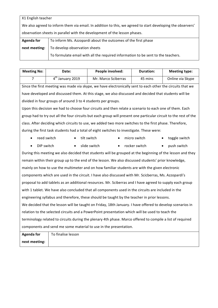X1 English teacher We also agreed to inform them via email. In addition to this, we agreed to start developing the observers' observation sheets in parallel with the development of the lesson phases. **Agenda** for **next meeting:**  To inform Ms. Azzopardi about the outcomes of the first phase To develop observation sheets

To formulate email with all the required information to be sent to the teachers.

| <b>Meeting No:</b>                                                                                        | Date:                                                                                                                                                                                                                                                                                                                                                                                | People involved:                                                                                                 | <b>Duration:</b>           | <b>Meeting type:</b> |
|-----------------------------------------------------------------------------------------------------------|--------------------------------------------------------------------------------------------------------------------------------------------------------------------------------------------------------------------------------------------------------------------------------------------------------------------------------------------------------------------------------------|------------------------------------------------------------------------------------------------------------------|----------------------------|----------------------|
| $\overline{7}$                                                                                            | 4 <sup>th</sup> January 2019                                                                                                                                                                                                                                                                                                                                                         | Mr. Marco Sciberras                                                                                              | 45 mins                    | Online via Skype     |
|                                                                                                           |                                                                                                                                                                                                                                                                                                                                                                                      | Since the first meeting was made via skype, we have electronically sent to each other the circuits that we       |                            |                      |
|                                                                                                           |                                                                                                                                                                                                                                                                                                                                                                                      | have developed and discussed them. At this stage, we also discussed and decided that students will be            |                            |                      |
|                                                                                                           | divided in four groups of around 3 to 4 students per groups.                                                                                                                                                                                                                                                                                                                         |                                                                                                                  |                            |                      |
|                                                                                                           |                                                                                                                                                                                                                                                                                                                                                                                      | Upon this decision we had to choose four circuits and then relate a scenario to each one of them. Each           |                            |                      |
|                                                                                                           |                                                                                                                                                                                                                                                                                                                                                                                      | group had to try out all the four circuits but each group will present one particular circuit to the rest of the |                            |                      |
|                                                                                                           |                                                                                                                                                                                                                                                                                                                                                                                      | class. After deciding which circuits to use, we added two more switches to the first phase. Therefore,           |                            |                      |
|                                                                                                           |                                                                                                                                                                                                                                                                                                                                                                                      | during the first task students had a total of eight switches to investigate. These were:                         |                            |                      |
|                                                                                                           | reed switch                                                                                                                                                                                                                                                                                                                                                                          | tilt switch                                                                                                      | micro switch               | toggle switch        |
| DIP switch<br>$\bullet$                                                                                   | $\bullet$                                                                                                                                                                                                                                                                                                                                                                            | slide switch<br>$\bullet$                                                                                        | rocker switch<br>$\bullet$ | push switch          |
|                                                                                                           | During this meeting we also decided that students will be grouped at the beginning of the lesson and they                                                                                                                                                                                                                                                                            |                                                                                                                  |                            |                      |
| remain within their group up to the end of the lesson. We also discussed students' prior knowledge,       |                                                                                                                                                                                                                                                                                                                                                                                      |                                                                                                                  |                            |                      |
| mainly on how to use the multimeter and on how familiar students are with the given electronic            |                                                                                                                                                                                                                                                                                                                                                                                      |                                                                                                                  |                            |                      |
| components which are used in the circuit. I have also discussed with Mr. Scicberras, Ms. Azzopardi's      |                                                                                                                                                                                                                                                                                                                                                                                      |                                                                                                                  |                            |                      |
|                                                                                                           |                                                                                                                                                                                                                                                                                                                                                                                      | proposal to add tablets as an additional resources. Mr. Sciberras and I have agreed to supply each group         |                            |                      |
|                                                                                                           |                                                                                                                                                                                                                                                                                                                                                                                      | with 1 tablet. We have also concluded that all components used in the circuits are included in the               |                            |                      |
|                                                                                                           | engineering syllabus and therefore, these should be taught by the teacher in prior lessons.                                                                                                                                                                                                                                                                                          |                                                                                                                  |                            |                      |
| We decided that the lesson will be taught on Friday, 18th January. I have offered to develop scenarios in |                                                                                                                                                                                                                                                                                                                                                                                      |                                                                                                                  |                            |                      |
| relation to the selected circuits and a PowerPoint presentation which will be used to teach the           |                                                                                                                                                                                                                                                                                                                                                                                      |                                                                                                                  |                            |                      |
| terminology related to circuits during the plenary 4th phase. Marco offered to compile a list of required |                                                                                                                                                                                                                                                                                                                                                                                      |                                                                                                                  |                            |                      |
| components and send me some material to use in the presentation.                                          |                                                                                                                                                                                                                                                                                                                                                                                      |                                                                                                                  |                            |                      |
| Againda fair                                                                                              | $\overline{a}$ $\overline{b}$ $\overline{c}$ $\overline{c}$ $\overline{c}$ $\overline{c}$ $\overline{c}$ $\overline{c}$ $\overline{c}$ $\overline{c}$ $\overline{c}$ $\overline{c}$ $\overline{c}$ $\overline{c}$ $\overline{c}$ $\overline{c}$ $\overline{c}$ $\overline{c}$ $\overline{c}$ $\overline{c}$ $\overline{c}$ $\overline{c}$ $\overline{c}$ $\overline{c}$ $\overline{$ |                                                                                                                  |                            |                      |

| <b>Agenda for</b> | To finalise lesson |
|-------------------|--------------------|
| next meeting:     |                    |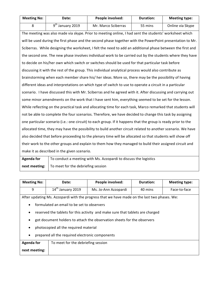| <b>Meeting No:</b> | <b>Date:</b>       | People involved:    | <b>Duration:</b> | <b>Meeting type:</b> |
|--------------------|--------------------|---------------------|------------------|----------------------|
|                    | $9th$ January 2019 | Mr. Marco Sciberras | 55 mins          | Online via Skype     |

The meeting was also made via skype. Prior to meeting online, I had sent the students' worksheet which will be used during the first phase and the second phase together with the PowerPoint presentation to Mr. Sciberras. While designing the worksheet, I felt the need to add an additional phase between the first and the second one. The new phase involves individual work to be carried out by the students where they have to decide on his/her own which switch or switches should be used for that particular task before discussing it with the rest of the group. This individual analytical process would also contribute as brainstorming when each member share his/ her ideas. More so, there may be the possibility of having different ideas and interpretations on which type of switch to use to operate a circuit in a particular scenario. I have discussed this with Mr. Sciberras and he agreed with it. After discussing and carrying out some minor amendments on the work that I have sent him, everything seemed to be set for the lesson. While reflecting on the practical task and allocating time for each task, Marco remarked that students will not be able to complete the four scenarios. Therefore, we have decided to change this task by assigning one particular scenario (i.e.: one circuit) to each group. If it happens that the group is ready prior to the allocated time, they may have the possibility to build another circuit related to another scenario. We have also decided that before proceeding to the plenary time will be allocated so that students will show off their work to the other groups and explain to them how they managed to build their assigned circuit and make it as described in the given scenario.

| Agenda for | To conduct a meeting with Ms. Azzopardi to discuss the logistics |
|------------|------------------------------------------------------------------|
|            | <b>next meeting:</b> $\vert$ To meet for the debriefing session  |

| <b>Meeting No:</b>                                                                           | Date:                              | People involved:     | <b>Duration:</b> | <b>Meeting type:</b> |  |  |
|----------------------------------------------------------------------------------------------|------------------------------------|----------------------|------------------|----------------------|--|--|
| 9                                                                                            | $14th$ January 2019                | Ms. Jo-Ann Azzopardi | 40 mins          | Face-to-face         |  |  |
| After updating Ms. Azzopardi with the progress that we have made on the last two phases. We: |                                    |                      |                  |                      |  |  |
| formulated an email to be set to observers<br>$\bullet$                                      |                                    |                      |                  |                      |  |  |
| reserved the tablets for this activity and make sure that tablets are charged<br>$\bullet$   |                                    |                      |                  |                      |  |  |
| got document holders to attach the observation sheets for the observers                      |                                    |                      |                  |                      |  |  |
| photocopied all the required material                                                        |                                    |                      |                  |                      |  |  |
| prepared all the required electronic components<br>$\bullet$                                 |                                    |                      |                  |                      |  |  |
| <b>Agenda for</b>                                                                            | To meet for the debriefing session |                      |                  |                      |  |  |
| next meeting:                                                                                |                                    |                      |                  |                      |  |  |